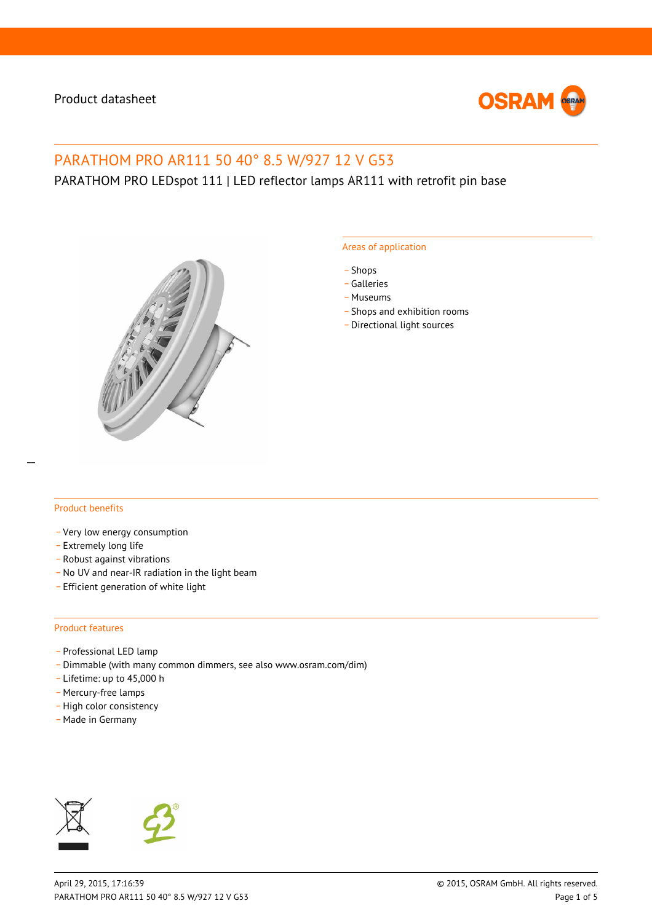

# PARATHOM PRO AR111 50 40° 8.5 W/927 12 V G53

# PARATHOM PRO LEDspot 111 | LED reflector lamps AR111 with retrofit pin base



#### Areas of application

- \_ Shops
- \_ Galleries
- \_ Museums
- Shops and exhibition rooms
- \_ Directional light sources

#### Product benefits

- \_ Very low energy consumption
- \_ Extremely long life
- \_ Robust against vibrations
- No UV and near-IR radiation in the light beam
- \_ Efficient generation of white light

#### Product features

- Professional LED lamp
- \_ Dimmable (with many common dimmers, see also www.osram.com/dim)
- \_ Lifetime: up to 45,000 h
- Mercury-free lamps
- High color consistency
- \_ Made in Germany



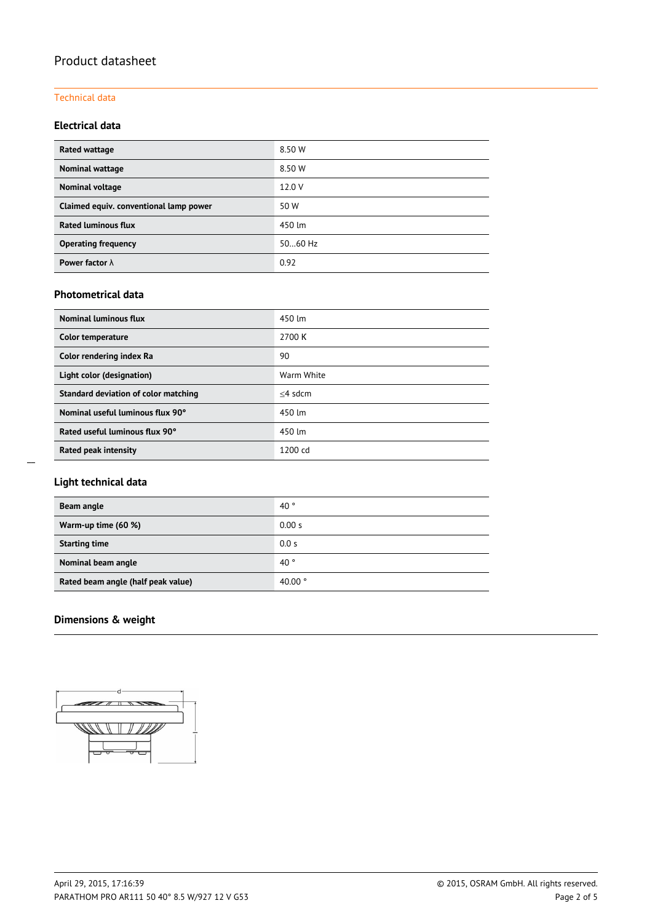#### Technical data

## **Electrical data**

| Rated wattage                          | 8.50 W    |
|----------------------------------------|-----------|
| Nominal wattage                        | 8.50 W    |
| Nominal voltage                        | 12.0 V    |
| Claimed equiv. conventional lamp power | 50 W      |
| <b>Rated luminous flux</b>             | 450 lm    |
| <b>Operating frequency</b>             | $5060$ Hz |
| Power factor $\lambda$                 | 0.92      |

### **Photometrical data**

| <b>Nominal luminous flux</b>         | 450 lm            |
|--------------------------------------|-------------------|
| Color temperature                    | 2700 K            |
| Color rendering index Ra             | 90                |
| Light color (designation)            | Warm White        |
| Standard deviation of color matching | $<$ 4 sdcm        |
| Nominal useful luminous flux 90°     | 450 lm            |
| Rated useful luminous flux 90°       | 450 lm            |
| Rated peak intensity                 | $1200 \text{ cd}$ |

## **Light technical data**

| Beam angle                         | 40 <sup>°</sup>  |
|------------------------------------|------------------|
| Warm-up time (60 %)                | 0.00 s           |
| <b>Starting time</b>               | 0.0 s            |
| Nominal beam angle                 | 40 <sup>°</sup>  |
| Rated beam angle (half peak value) | 40.00 $^{\circ}$ |

# **Dimensions & weight**

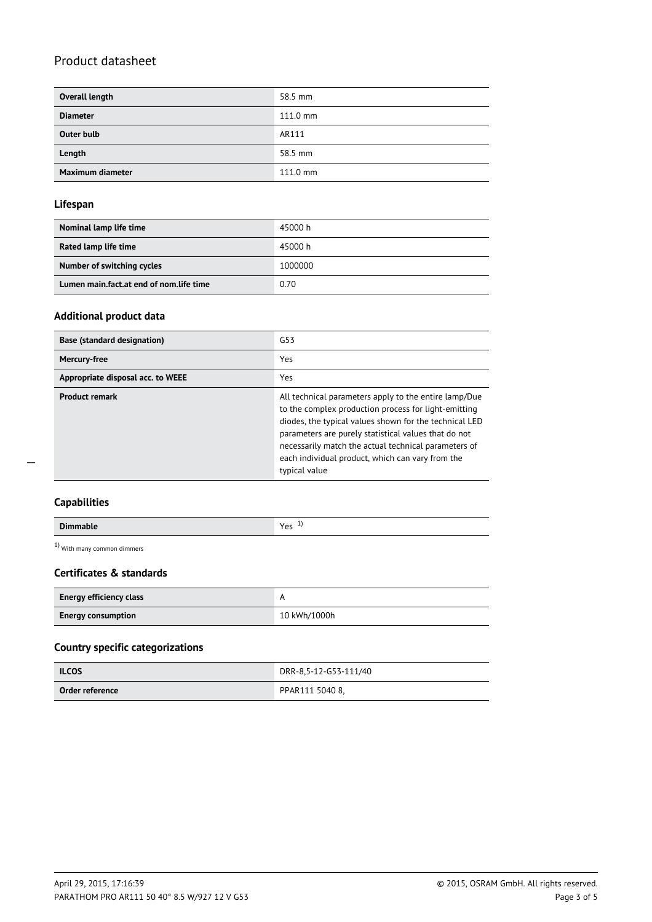| Overall length    | 58.5 mm            |
|-------------------|--------------------|
| <b>Diameter</b>   | $111.0 \text{ mm}$ |
| <b>Outer bulb</b> | AR111              |
| Length            | 58.5 mm            |
| Maximum diameter  | $111.0 \text{ mm}$ |

#### **Lifespan**

| Nominal lamp life time                  | 45000 h |
|-----------------------------------------|---------|
|                                         |         |
| Rated lamp life time                    | 45000 h |
| Number of switching cycles              | 1000000 |
| Lumen main.fact.at end of nom.life time | 0.70    |

#### **Additional product data**

| <b>Base (standard designation)</b> | G53                                                                                                                                                                                                                                                                                                                                                          |
|------------------------------------|--------------------------------------------------------------------------------------------------------------------------------------------------------------------------------------------------------------------------------------------------------------------------------------------------------------------------------------------------------------|
| <b>Mercury-free</b>                | Yes                                                                                                                                                                                                                                                                                                                                                          |
| Appropriate disposal acc. to WEEE  | Yes                                                                                                                                                                                                                                                                                                                                                          |
| <b>Product remark</b>              | All technical parameters apply to the entire lamp/Due<br>to the complex production process for light-emitting<br>diodes, the typical values shown for the technical LED<br>parameters are purely statistical values that do not<br>necessarily match the actual technical parameters of<br>each individual product, which can vary from the<br>typical value |

 $\overline{a}$ 

| <b>Dimmable</b> | Vec<br>. .<br>ີ |
|-----------------|-----------------|

1) With many common dimmers

## **Certificates & standards**

| <b>Energy efficiency class</b> |              |  |
|--------------------------------|--------------|--|
| <b>Energy consumption</b>      | 10 kWh/1000h |  |

## **Country specific categorizations**

| <b>ILCOS</b>    | DRR-8,5-12-G53-111/40 |
|-----------------|-----------------------|
| Order reference | PPAR111 5040 8,       |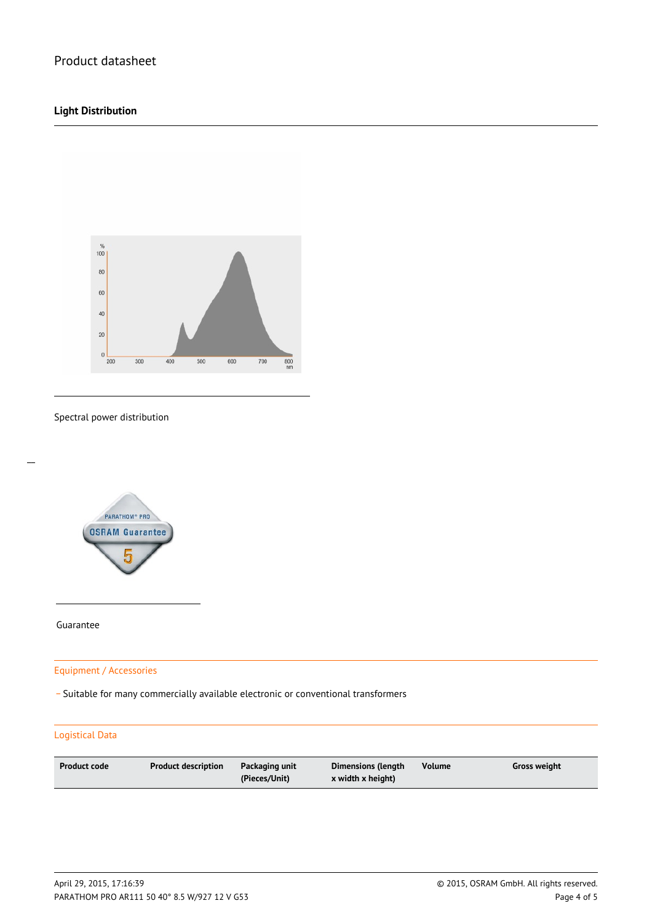## **Light Distribution**



Spectral power distribution



Guarantee

 $\overline{a}$ 

Equipment / Accessories

\_ Suitable for many commercially available electronic or conventional transformers

#### Logistical Data

| <b>Product code</b><br><b>Product description</b><br>Packaging unit<br>(Pieces/Unit) | Volume<br>Dimensions (length<br>x width x height) | Gross weight |
|--------------------------------------------------------------------------------------|---------------------------------------------------|--------------|
|--------------------------------------------------------------------------------------|---------------------------------------------------|--------------|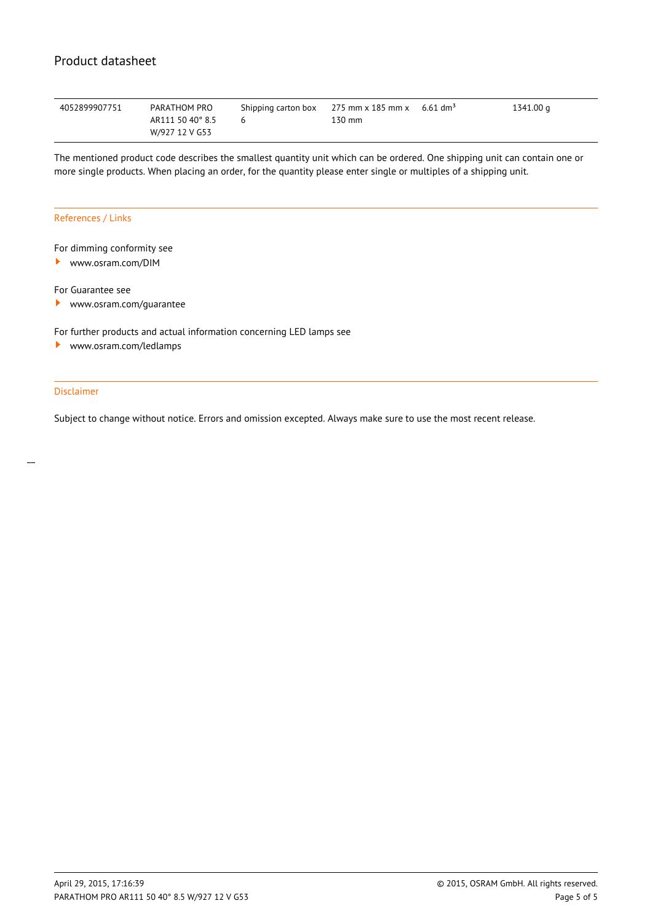| 4052899907751 | PARATHOM PRO     | Shipping carton box 275 mm x 185 mm x 6.61 dm <sup>3</sup> |        | 1341.00 g |
|---------------|------------------|------------------------------------------------------------|--------|-----------|
|               | AR111 50 40° 8.5 |                                                            | 130 mm |           |
|               | W/927 12 V G53   |                                                            |        |           |

The mentioned product code describes the smallest quantity unit which can be ordered. One shipping unit can contain one or more single products. When placing an order, for the quantity please enter single or multiples of a shipping unit.

#### References / Links

#### For dimming conformity see

<www.osram.com/DIM>

For Guarantee see

 $\blacktriangleright$ <www.osram.com/guarantee>

For further products and actual information concerning LED lamps see

<www.osram.com/ledlamps> ▸

#### Disclaimer

Subject to change without notice. Errors and omission excepted. Always make sure to use the most recent release.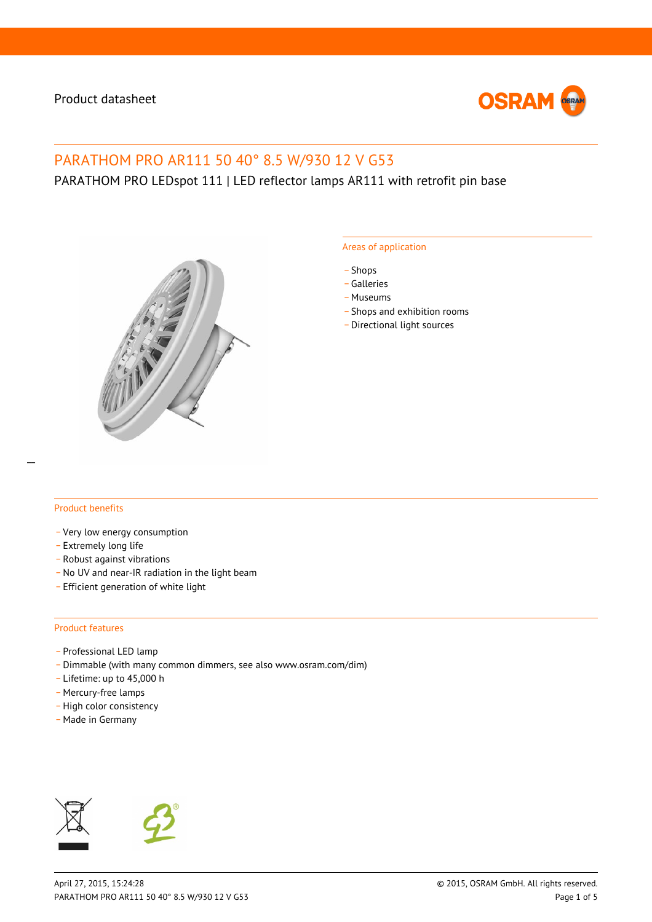

# PARATHOM PRO AR111 50 40° 8.5 W/930 12 V G53

PARATHOM PRO LEDspot 111 | LED reflector lamps AR111 with retrofit pin base



#### Areas of application

- \_ Shops
- \_ Galleries
- \_ Museums
- Shops and exhibition rooms
- \_ Directional light sources

#### Product benefits

- \_ Very low energy consumption
- \_ Extremely long life
- \_ Robust against vibrations
- No UV and near-IR radiation in the light beam
- \_ Efficient generation of white light

#### Product features

- Professional LED lamp
- \_ Dimmable (with many common dimmers, see also www.osram.com/dim)
- \_ Lifetime: up to 45,000 h
- Mercury-free lamps
- High color consistency
- \_ Made in Germany



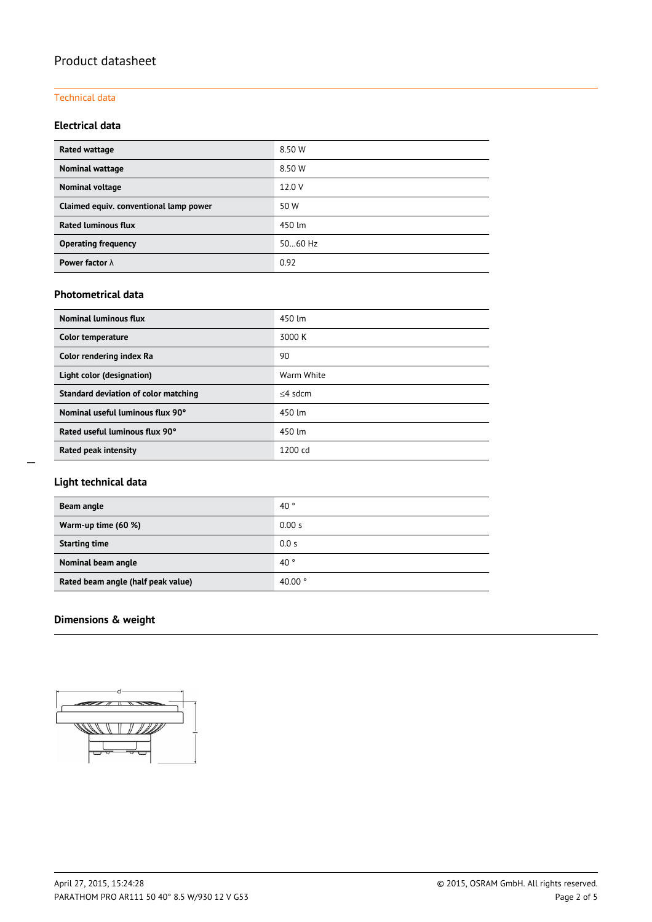#### Technical data

## **Electrical data**

| Rated wattage                          | 8.50 W  |
|----------------------------------------|---------|
| Nominal wattage                        | 8.50 W  |
| Nominal voltage                        | 12.0 V  |
| Claimed equiv. conventional lamp power | 50 W    |
| <b>Rated luminous flux</b>             | 450 lm  |
| <b>Operating frequency</b>             | 5060 Hz |
| Power factor $\lambda$                 | 0.92    |

### **Photometrical data**

| <b>Nominal luminous flux</b>         | 450 lm            |
|--------------------------------------|-------------------|
| Color temperature                    | 3000 K            |
| Color rendering index Ra             | 90                |
| Light color (designation)            | Warm White        |
| Standard deviation of color matching | $<$ 4 sdcm        |
| Nominal useful luminous flux 90°     | 450 lm            |
| Rated useful luminous flux 90°       | 450 lm            |
| Rated peak intensity                 | $1200 \text{ cd}$ |

## **Light technical data**

| Beam angle                         | 40°              |
|------------------------------------|------------------|
| Warm-up time (60 %)                | 0.00 s           |
| <b>Starting time</b>               | 0.0 s            |
| Nominal beam angle                 | $40^{\circ}$     |
| Rated beam angle (half peak value) | 40.00 $^{\circ}$ |

# **Dimensions & weight**

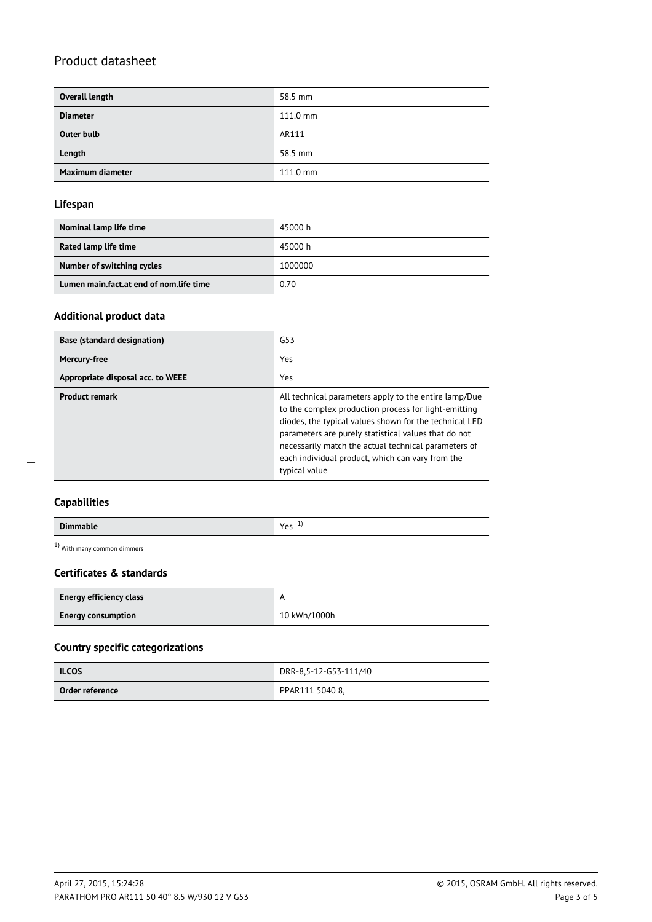| Overall length    | 58.5 mm            |
|-------------------|--------------------|
| <b>Diameter</b>   | $111.0 \text{ mm}$ |
| <b>Outer bulb</b> | AR111              |
| Length            | 58.5 mm            |
| Maximum diameter  | $111.0 \text{ mm}$ |

#### **Lifespan**

| Nominal lamp life time                  | 45000 h |
|-----------------------------------------|---------|
| Rated lamp life time                    | 45000 h |
| Number of switching cycles              | 1000000 |
| Lumen main.fact.at end of nom.life time | 0.70    |

#### **Additional product data**

| <b>Base (standard designation)</b> | G53                                                                                                                                                                                                                                                                                                                                                          |
|------------------------------------|--------------------------------------------------------------------------------------------------------------------------------------------------------------------------------------------------------------------------------------------------------------------------------------------------------------------------------------------------------------|
| Mercury-free                       | Yes                                                                                                                                                                                                                                                                                                                                                          |
| Appropriate disposal acc. to WEEE  | Yes                                                                                                                                                                                                                                                                                                                                                          |
| <b>Product remark</b>              | All technical parameters apply to the entire lamp/Due<br>to the complex production process for light-emitting<br>diodes, the typical values shown for the technical LED<br>parameters are purely statistical values that do not<br>necessarily match the actual technical parameters of<br>each individual product, which can vary from the<br>typical value |

 $\overline{a}$ 

| <b>Dimmable</b> | $V_{\alpha\beta}$<br>. .<br>ر ب |
|-----------------|---------------------------------|

1) With many common dimmers

## **Certificates & standards**

| <b>Energy efficiency class</b> |              |
|--------------------------------|--------------|
| <b>Energy consumption</b>      | 10 kWh/1000h |

## **Country specific categorizations**

| <b>ILCOS</b>    | DRR-8,5-12-G53-111/40 |  |
|-----------------|-----------------------|--|
| Order reference | PPAR111 5040 8,       |  |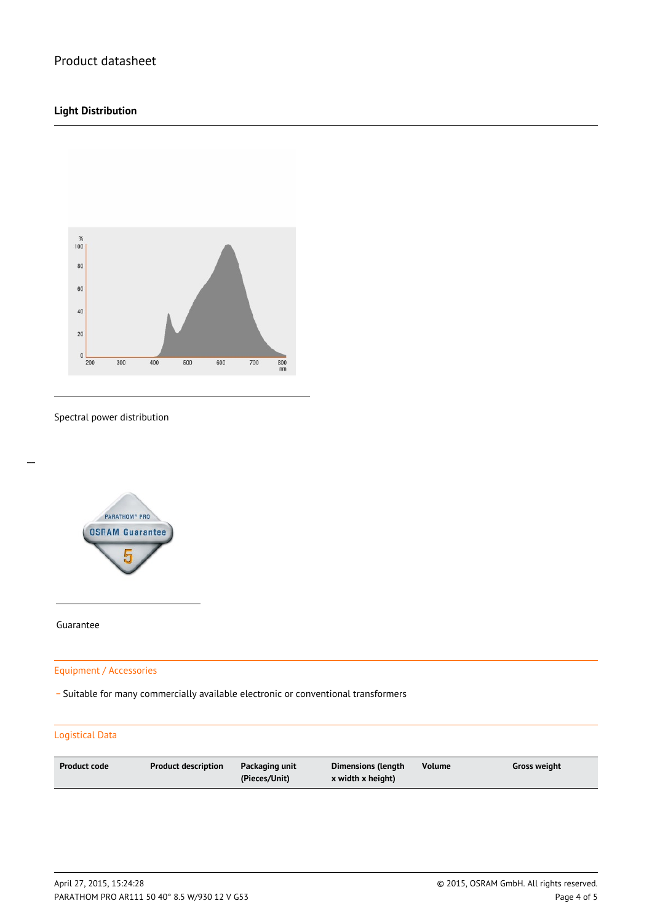## **Light Distribution**



#### Spectral power distribution



Guarantee

 $\overline{a}$ 

### Equipment / Accessories

\_ Suitable for many commercially available electronic or conventional transformers

#### Logistical Data

| <b>Product code</b><br>Product description | Packaging unit<br>(Pieces/Unit) | Dimensions (length<br>x width x height) | <b>Volume</b> | Gross weight |
|--------------------------------------------|---------------------------------|-----------------------------------------|---------------|--------------|
|--------------------------------------------|---------------------------------|-----------------------------------------|---------------|--------------|